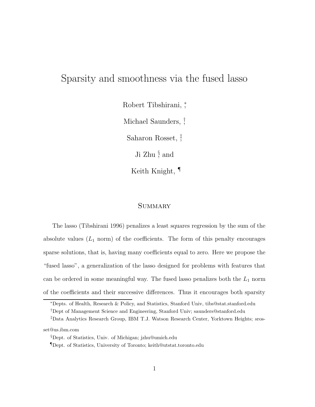# Sparsity and smoothness via the fused lasso

Robert Tibshirani, <sup>∗</sup> , Michael Saunders, † , Saharon Rosset, ‡ , Ji Zhu  $\frac{5}{2}$  and Keith Knight, ¶

# **SUMMARY**

The lasso (Tibshirani 1996) penalizes a least squares regression by the sum of the absolute values  $(L_1 \text{ norm})$  of the coefficients. The form of this penalty encourages sparse solutions, that is, having many coefficients equal to zero. Here we propose the "fused lasso", a generalization of the lasso designed for problems with features that can be ordered in some meaningful way. The fused lasso penalizes both the  $L_1$  norm of the coefficients and their successive differences. Thus it encourages both sparsity

<sup>∗</sup>Depts. of Health, Research & Policy, and Statistics, Stanford Univ, tibs@stat.stanford.edu †Dept of Management Science and Engineering, Stanford Univ; saunders@stanford.edu

<sup>‡</sup>Data Analytics Research Group, IBM T.J. Watson Research Center, Yorktown Heights; srosset@us.ibm.com

<sup>§</sup>Dept. of Statistics, Univ. of Michigan; jzhu@umich.edu

<sup>¶</sup>Dept. of Statistics, University of Toronto; keith@utstat.toronto.edu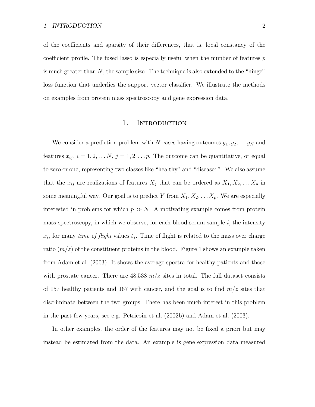of the coefficients and sparsity of their differences, that is, local constancy of the coefficient profile. The fused lasso is especially useful when the number of features  $p$ is much greater than  $N$ , the sample size. The technique is also extended to the "hinge" loss function that underlies the support vector classifier. We illustrate the methods on examples from protein mass spectroscopy and gene expression data.

# 1. INTRODUCTION

We consider a prediction problem with N cases having outcomes  $y_1, y_2, \ldots y_N$  and features  $x_{ij}$ ,  $i = 1, 2, \ldots N$ ,  $j = 1, 2, \ldots p$ . The outcome can be quantitative, or equal to zero or one, representing two classes like "healthy" and "diseased". We also assume that the  $x_{ij}$  are realizations of features  $X_j$  that can be ordered as  $X_1, X_2, \ldots X_p$  in some meaningful way. Our goal is to predict Y from  $X_1, X_2, \ldots X_p$ . We are especially interested in problems for which  $p \gg N$ . A motivating example comes from protein mass spectroscopy, in which we observe, for each blood serum sample  $i$ , the intensity  $x_{ij}$  for many *time of flight* values  $t_j$ . Time of flight is related to the mass over charge ratio  $(m/z)$  of the constituent proteins in the blood. Figure 1 shows an example taken from Adam et al. (2003). It shows the average spectra for healthy patients and those with prostate cancer. There are  $48,538$   $m/z$  sites in total. The full dataset consists of 157 healthy patients and 167 with cancer, and the goal is to find  $m/z$  sites that discriminate between the two groups. There has been much interest in this problem in the past few years, see e.g. Petricoin et al. (2002b) and Adam et al. (2003).

In other examples, the order of the features may not be fixed a priori but may instead be estimated from the data. An example is gene expression data measured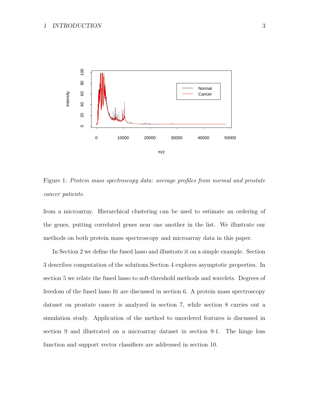

Figure 1: Protein mass spectroscopy data: average profiles from normal and prostate cancer patients.

from a microarray. Hierarchical clustering can be used to estimate an ordering of the genes, putting correlated genes near one another in the list. We illustrate our methods on both protein mass spectroscopy and microarray data in this paper.

In Section 2 we define the fused lasso and illustrate it on a simple example. Section 3 describes computation of the solutions.Section 4 explores asymptotic properties. In section 5 we relate the fused lasso to soft-threshold methods and wavelets. Degrees of freedom of the fused lasso fit are discussed in section 6. A protein mass spectroscopy dataset on prostate cancer is analyzed in section 7, while section 8 carries out a simulation study. Application of the method to unordered features is discussed in section 9 and illustrated on a microarray dataset in section 9·1. The hinge loss function and support vector classifiers are addressed in section 10.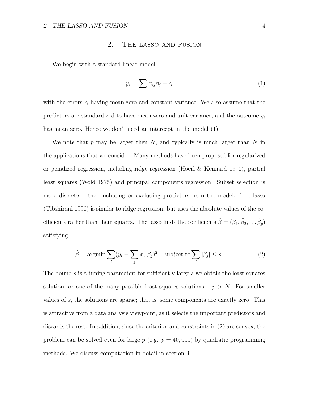# 2. The lasso and fusion

We begin with a standard linear model

$$
y_i = \sum_j x_{ij} \beta_j + \epsilon_i \tag{1}
$$

with the errors  $\epsilon_i$  having mean zero and constant variance. We also assume that the predictors are standardized to have mean zero and unit variance, and the outcome  $y_i$ has mean zero. Hence we don't need an intercept in the model (1).

We note that p may be larger then  $N$ , and typically is much larger than N in the applications that we consider. Many methods have been proposed for regularized or penalized regression, including ridge regression (Hoerl & Kennard 1970), partial least squares (Wold 1975) and principal components regression. Subset selection is more discrete, either including or excluding predictors from the model. The lasso (Tibshirani 1996) is similar to ridge regression, but uses the absolute values of the coefficients rather than their squares. The lasso finds the coefficients  $\hat{\beta} = (\hat{\beta}_1, \hat{\beta}_2, \dots, \hat{\beta}_p)$ satisfying

$$
\hat{\beta} = \operatorname{argmin} \sum_{i} (y_i - \sum_j x_{ij} \beta_j)^2 \quad \text{subject to} \sum_j |\beta_j| \le s. \tag{2}
$$

The bound s is a tuning parameter: for sufficiently large s we obtain the least squares solution, or one of the many possible least squares solutions if  $p > N$ . For smaller values of s, the solutions are sparse; that is, some components are exactly zero. This is attractive from a data analysis viewpoint, as it selects the important predictors and discards the rest. In addition, since the criterion and constraints in (2) are convex, the problem can be solved even for large  $p$  (e.g.  $p = 40,000$ ) by quadratic programming methods. We discuss computation in detail in section 3.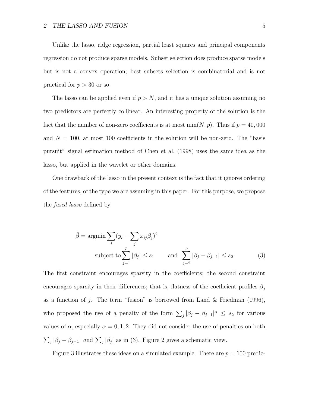Unlike the lasso, ridge regression, partial least squares and principal components regression do not produce sparse models. Subset selection does produce sparse models but is not a convex operation; best subsets selection is combinatorial and is not practical for  $p > 30$  or so.

The lasso can be applied even if  $p > N$ , and it has a unique solution assuming no two predictors are perfectly collinear. An interesting property of the solution is the fact that the number of non-zero coefficients is at most  $\min(N, p)$ . Thus if  $p = 40,000$ and  $N = 100$ , at most 100 coefficients in the solution will be non-zero. The "basis pursuit" signal estimation method of Chen et al. (1998) uses the same idea as the lasso, but applied in the wavelet or other domains.

One drawback of the lasso in the present context is the fact that it ignores ordering of the features, of the type we are assuming in this paper. For this purpose, we propose the fused lasso defined by

$$
\hat{\beta} = \operatorname{argmin}_{i} \sum_{j} (y_i - \sum_{j} x_{ij} \beta_j)^2
$$
  
subject to 
$$
\sum_{j=1}^{p} |\beta_j| \le s_1 \quad \text{and} \quad \sum_{j=2}^{p} |\beta_j - \beta_{j-1}| \le s_2
$$
 (3)

The first constraint encourages sparsity in the coefficients; the second constraint encourages sparsity in their differences; that is, flatness of the coefficient profiles  $\beta_i$ as a function of j. The term "fusion" is borrowed from Land & Friedman (1996), who proposed the use of a penalty of the form  $\sum_j |\beta_j - \beta_{j-1}|^{\alpha} \leq s_2$  for various values of  $\alpha$ , especially  $\alpha = 0, 1, 2$ . They did not consider the use of penalties on both  $\sum_j |\beta_j - \beta_{j-1}|$  and  $\sum_j |\beta_j|$  as in (3). Figure 2 gives a schematic view.

Figure 3 illustrates these ideas on a simulated example. There are  $p = 100$  predic-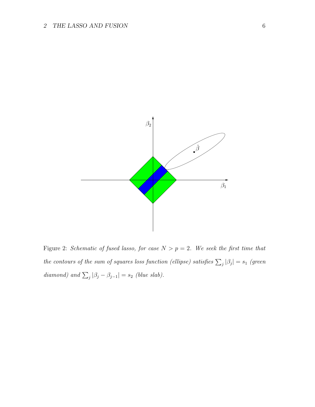# 2 THE LASSO AND FUSION 6



Figure 2: Schematic of fused lasso, for case  $N > p = 2$ . We seek the first time that the contours of the sum of squares loss function (ellipse) satisfies  $\sum_j |\beta_j| = s_1$  (green diamond) and  $\sum_j |\beta_j - \beta_{j-1}| = s_2$  (blue slab).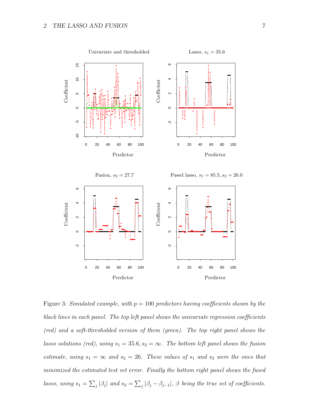

Figure 3: Simulated example, with  $p = 100$  predictors having coefficients shown by the black lines in each panel. The top left panel shows the univariate regression coefficients (red) and a soft-thresholded version of them (green). The top right panel shows the lasso solutions (red), using  $s_1 = 35.6$ ,  $s_2 = \infty$ . The bottom left panel shows the fusion estimate, using  $s_1 = \infty$  and  $s_2 = 26$ . These values of  $s_1$  and  $s_2$  were the ones that minimized the estimated test set error. Finally the bottom right panel shows the fused lasso, using  $s_1 = \sum_j |\beta_j|$  and  $s_2 = \sum_j |\beta_j - \beta_{j-1}|$ ,  $\beta$  being the true set of coefficients.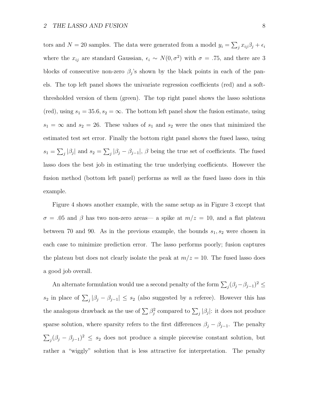tors and  $N = 20$  samples. The data were generated from a model  $y_i = \sum_j x_{ij} \beta_j + \epsilon_i$ where the  $x_{ij}$  are standard Gaussian,  $\epsilon_i \sim N(0, \sigma^2)$  with  $\sigma = .75$ , and there are 3 blocks of consecutive non-zero  $\beta_j$ 's shown by the black points in each of the panels. The top left panel shows the univariate regression coefficients (red) and a softthresholded version of them (green). The top right panel shows the lasso solutions (red), using  $s_1 = 35.6$ ,  $s_2 = \infty$ . The bottom left panel show the fusion estimate, using  $s_1 = \infty$  and  $s_2 = 26$ . These values of  $s_1$  and  $s_2$  were the ones that minimized the estimated test set error. Finally the bottom right panel shows the fused lasso, using  $s_1 = \sum_j |\beta_j|$  and  $s_2 = \sum_j |\beta_j - \beta_{j-1}|$ ,  $\beta$  being the true set of coefficients. The fused lasso does the best job in estimating the true underlying coefficients. However the fusion method (bottom left panel) performs as well as the fused lasso does in this example.

Figure 4 shows another example, with the same setup as in Figure 3 except that  $\sigma = .05$  and  $\beta$  has two non-zero areas— a spike at  $m/z = 10$ , and a flat plateau between 70 and 90. As in the previous example, the bounds  $s_1, s_2$  were chosen in each case to minimize prediction error. The lasso performs poorly; fusion captures the plateau but does not clearly isolate the peak at  $m/z = 10$ . The fused lasso does a good job overall.

An alternate formulation would use a second penalty of the form  $\sum_j (\beta_j - \beta_{j-1})^2 \leq$ s<sub>2</sub> in place of  $\sum_j |\beta_j - \beta_{j-1}| \leq s_2$  (also suggested by a referee). However this has the analogous drawback as the use of  $\sum \beta_j^2$  compared to  $\sum_j |\beta_j|$ : it does not produce sparse solution, where sparsity refers to the first differences  $\beta_j - \beta_{j-1}$ . The penalty  $\sum_j (\beta_j - \beta_{j-1})^2 \leq s_2$  does not produce a simple piecewise constant solution, but rather a "wiggly" solution that is less attractive for interpretation. The penalty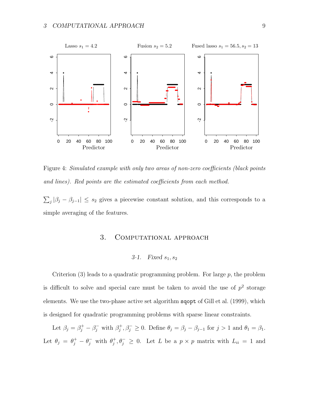

Figure 4: Simulated example with only two areas of non-zero coefficients (black points and lines). Red points are the estimated coefficients from each method.

 $\sum_j |\beta_j - \beta_{j-1}| \leq s_2$  gives a piecewise constant solution, and this corresponds to a simple averaging of the features.

# 3. COMPUTATIONAL APPROACH

### 3.1. Fixed  $s_1, s_2$

Criterion  $(3)$  leads to a quadratic programming problem. For large p, the problem is difficult to solve and special care must be taken to avoid the use of  $p^2$  storage elements. We use the two-phase active set algorithm sqopt of Gill et al. (1999), which is designed for quadratic programming problems with sparse linear constraints.

Let  $\beta_j = \beta_j^+ - \beta_j^-$  with  $\beta_j^+, \beta_j^- \ge 0$ . Define  $\theta_j = \beta_j - \beta_{j-1}$  for  $j > 1$  and  $\theta_1 = \beta_1$ . Let  $\theta_j = \theta_j^+ - \theta_j^-$  with  $\theta_j^+, \theta_j^- \geq 0$ . Let L be a  $p \times p$  matrix with  $L_{ii} = 1$  and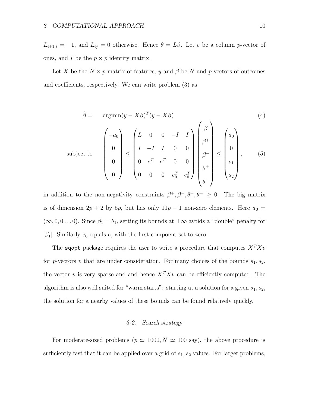$su$ 

 $L_{i+1,i} = -1$ , and  $L_{ij} = 0$  otherwise. Hence  $\theta = L\beta$ . Let e be a column p-vector of ones, and I be the  $p \times p$  identity matrix.

Let X be the  $N \times p$  matrix of features, y and  $\beta$  be N and p-vectors of outcomes and coefficients, respectively. We can write problem (3) as

$$
\hat{\beta} = \operatorname{argmin}(y - X\beta)^{T} (y - X\beta)
$$
\n
$$
\text{bject to } \begin{pmatrix} -a_0 \\ 0 \\ 0 \\ 0 \end{pmatrix} \leq \begin{pmatrix} L & 0 & 0 & -I & I \\ I & -I & I & 0 & 0 \\ 0 & e^{T} & e^{T} & 0 & 0 \\ 0 & 0 & 0 & e_{0}^{T} & e_{0}^{T} \end{pmatrix} \begin{pmatrix} \beta \\ \beta^{+} \\ \beta^{-} \\ \beta^{+} \\ \beta^{+} \\ \beta^{-} \end{pmatrix} \leq \begin{pmatrix} a_0 \\ 0 \\ 0 \\ s_1 \\ s_2 \end{pmatrix}, \qquad (5)
$$

in addition to the non-negativity constraints  $\beta^+, \beta^-, \theta^+, \theta^- \geq 0$ . The big matrix is of dimension  $2p + 2$  by  $5p$ , but has only  $11p - 1$  non-zero elements. Here  $a_0 =$  $(\infty, 0, 0...0)$ . Since  $\beta_1 = \theta_1$ , setting its bounds at  $\pm \infty$  avoids a "double" penalty for  $|\beta_1|$ . Similarly  $e_0$  equals  $e$ , with the first compoent set to zero.

The sqopt package requires the user to write a procedure that computes  $X^T X v$ for p-vectors v that are under consideration. For many choices of the bounds  $s_1, s_2$ , the vector v is very sparse and and hence  $X^T X v$  can be efficiently computed. The algorithm is also well suited for "warm starts": starting at a solution for a given  $s_1, s_2$ , the solution for a nearby values of these bounds can be found relatively quickly.

### 3·2. Search strategy

For moderate-sized problems ( $p \simeq 1000, N \simeq 100$  say), the above procedure is sufficiently fast that it can be applied over a grid of  $s_1, s_2$  values. For larger problems,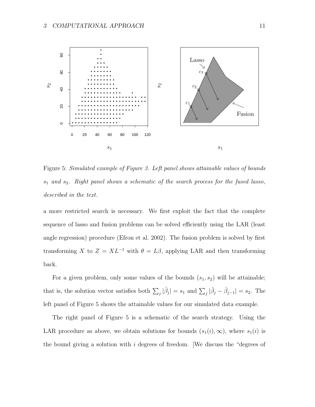

Figure 5: Simulated example of Figure 3. Left panel shows attainable values of bounds  $s_1$  and  $s_2$ . Right panel shows a schematic of the search process for the fused lasso, described in the text.

a more restricted search is necessary. We first exploit the fact that the complete sequence of lasso and fusion problems can be solved efficiently using the LAR (least angle regression) procedure (Efron et al. 2002). The fusion problem is solved by first transforming X to  $Z = XL^{-1}$  with  $\theta = L\beta$ , applying LAR and then transforming back.

For a given problem, only some values of the bounds  $(s_1, s_2)$  will be attainable; that is, the solution vector satisfies both  $\sum_j |\hat{\beta}_j| = s_1$  and  $\sum_j |\hat{\beta}_j - \hat{\beta}_{j-1}| = s_2$ . The left panel of Figure 5 shows the attainable values for our simulated data example.

The right panel of Figure 5 is a schematic of the search strategy. Using the LAR procedure as above, we obtain solutions for bounds  $(s_1(i), \infty)$ , where  $s_1(i)$  is the bound giving a solution with  $i$  degrees of freedom. [We discuss the "degrees of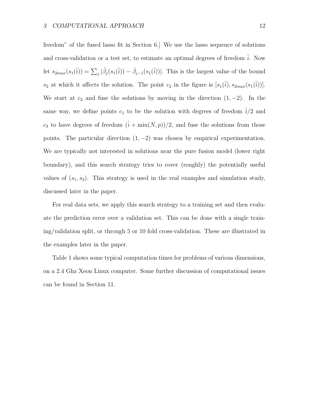freedom" of the fused lasso fit in Section 6.] We use the lasso sequence of solutions and cross-validation or a test set, to estimate an optimal degrees of freedom  $\hat{i}$ . Now let  $s_{2max}(s_1(\hat{i})) = \sum_j |\hat{\beta}_j(s_1(\hat{i})) - \hat{\beta}_{j-1}(s_1(\hat{i}))|$ . This is the largest value of the bound  $s_2$  at which it affects the solution. The point  $c_2$  in the figure is  $[s_1(\hat{i}), s_{2max}(s_1(\hat{i}))]$ . We start at  $c_2$  and fuse the solutions by moving in the direction  $(1, -2)$ . In the same way, we define points  $c_1$  to be the solution with degrees of freedom  $i/2$  and  $c_3$  to have degrees of freedom  $(\hat{i} + \min(N, p))/2$ , and fuse the solutions from those points. The particular direction  $(1, -2)$  was chosen by empirical experimentation. We are typically not interested in solutions near the pure fusion model (lower right boundary), and this search strategy tries to cover (roughly) the potentially useful values of  $(s_1, s_2)$ . This strategy is used in the real examples and simulation study, discussed later in the paper.

For real data sets, we apply this search strategy to a training set and then evaluate the prediction error over a validation set. This can be done with a single training/validation split, or through 5 or 10 fold cross-validation. These are illustrated in the examples later in the paper.

Table 1 shows some typical computation times for problems of various dimensions, on a 2.4 Ghz Xeon Linux computer. Some further discussion of computational issues can be found in Section 11.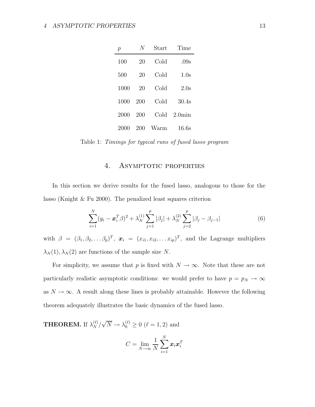| $\mathcal{p}$ | N   | Start | Time      |
|---------------|-----|-------|-----------|
| 100           | 20  | Cold  | .09s      |
| 500           | 20  | Cold  | 1.0s      |
| 1000          | 20  | Cold  | 2.0s      |
| 1000          | 200 | Cold  | 30.4s     |
| 2000          | 200 | Cold  | $2.0$ min |
| 2000          | 200 | Warm  | 16.6s     |

Table 1: Timings for typical runs of fused lasso program

# 4. ASYMPTOTIC PROPERTIES

In this section we derive results for the fused lasso, analogous to those for the lasso (Knight & Fu 2000). The penalized least squares criterion

$$
\sum_{i=1}^{N} (y_i - \boldsymbol{x}_i^T \boldsymbol{\beta})^2 + \lambda_N^{(1)} \sum_{j=1}^{p} |\beta_j| + \lambda_N^{(2)} \sum_{j=2}^{p} |\beta_j - \beta_{j-1}| \tag{6}
$$

with  $\beta = (\beta_1, \beta_2, \ldots, \beta_p)^T$ ,  $\mathbf{x}_i = (x_{i1}, x_{i2}, \ldots, x_{ip})^T$ , and the Lagrange multipliers  $\lambda_N(1), \lambda_N(2)$  are functions of the sample size N.

For simplicity, we assume that p is fixed with  $N \to \infty$ . Note that these are not particularly realistic asymptotic conditions: we would prefer to have  $p = p_N \rightarrow \infty$ as  $N \to \infty$ . A result along these lines is probably attainable. However the following theorem adequately illustrates the basic dynamics of the fused lasso.

**THEOREM.** If  $\lambda_N^{(\ell)}/\sqrt{N} \to \lambda_0^{(\ell)} \ge 0$  ( $\ell = 1, 2$ ) and

$$
C = \lim_{N \to \infty} \frac{1}{N} \sum_{i=1}^{N} \boldsymbol{x}_i \boldsymbol{x}_i^T
$$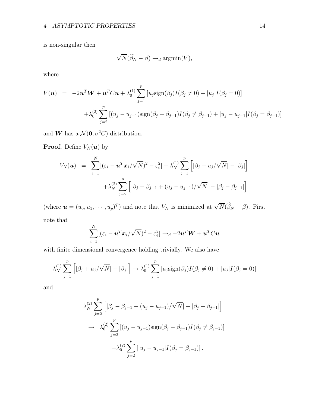is non-singular then

$$
\sqrt{N}(\widehat{\beta}_N - \beta) \rightarrow_d \operatorname{argmin}(V),
$$

where

$$
V(\mathbf{u}) = -2\mathbf{u}^T \mathbf{W} + \mathbf{u}^T C \mathbf{u} + \lambda_0^{(1)} \sum_{j=1}^p [u_j \text{sign}(\beta_j) I(\beta_j \neq 0) + |u_j| I(\beta_j = 0)]
$$
  
+  $\lambda_0^{(2)} \sum_{j=2}^p [(u_j - u_{j-1}) \text{sign}(\beta_j - \beta_{j-1}) I(\beta_j \neq \beta_{j-1}) + |u_j - u_{j-1}| I(\beta_j = \beta_{j-1})]$ 

and **W** has a  $\mathcal{N}(\mathbf{0}, \sigma^2 C)$  distribution.

**Proof.** Define  $V_N(\boldsymbol{u})$  by

$$
V_N(\boldsymbol{u}) = \sum_{i=1}^N [(\varepsilon_i - \boldsymbol{u}^T \boldsymbol{x}_i / \sqrt{N})^2 - \varepsilon_i^2] + \lambda_N^{(1)} \sum_{j=1}^p \left[ |\beta_j + u_j / \sqrt{N}| - |\beta_j| \right] + \lambda_N^{(2)} \sum_{j=2}^p \left[ |\beta_j - \beta_{j-1} + (u_j - u_{j-1}) / \sqrt{N}| - |\beta_j - \beta_{j-1}| \right]
$$

(where  $\mathbf{u} = (u_0, u_1, \dots, u_p)^T$ ) and note that  $V_N$  is minimized at  $\sqrt{N}(\widehat{\beta}_N - \beta)$ . First note that

$$
\sum_{i=1}^N [(\varepsilon_i - \bm{u}^T\bm{x}_i/\sqrt{N})^2 - \varepsilon_i^2] \rightarrow_d -2\bm{u}^T\bm{W} + \bm{u}^T C \bm{u}
$$

with finite dimensional convergence holding trivially. We also have

$$
\lambda_N^{(1)} \sum_{j=1}^p \left[ |\beta_j + u_j / \sqrt{N}| - |\beta_j| \right] \to \lambda_0^{(1)} \sum_{j=1}^p \left[ u_j \text{sign}(\beta_j) I(\beta_j \neq 0) + |u_j| I(\beta_j = 0) \right]
$$

and

$$
\lambda_N^{(2)} \sum_{j=2}^p \left[ |\beta_j - \beta_{j-1} + (u_j - u_{j-1}) / \sqrt{N} | - |\beta_j - \beta_{j-1}| \right]
$$
  
\n
$$
\rightarrow \lambda_0^{(2)} \sum_{j=2}^p \left[ (u_j - u_{j-1}) \text{sign}(\beta_j - \beta_{j-1}) I(\beta_j \neq \beta_{j-1}) \right]
$$
  
\n
$$
+ \lambda_0^{(2)} \sum_{j=2}^p \left[ |u_j - u_{j-1}| I(\beta_j = \beta_{j-1}) \right].
$$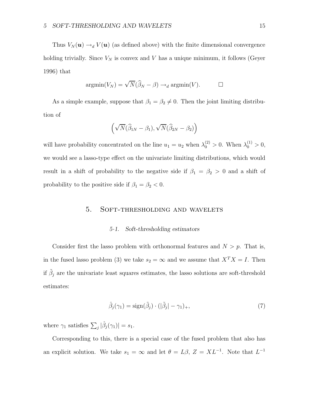Thus  $V_N(\mathbf{u}) \to_d V(\mathbf{u})$  (as defined above) with the finite dimensional convergence holding trivially. Since  $V_N$  is convex and V has a unique minimum, it follows (Geyer 1996) that

$$
\operatorname{argmin}(V_N) = \sqrt{N}(\widehat{\beta}_N - \beta) \to_d \operatorname{argmin}(V). \qquad \Box
$$

As a simple example, suppose that  $\beta_1 = \beta_2 \neq 0$ . Then the joint limiting distribution of

$$
\left(\sqrt{N}(\widehat{\beta}_{1N}-\beta_1), \sqrt{N}(\widehat{\beta}_{2N}-\beta_2)\right)
$$

will have probability concentrated on the line  $u_1 = u_2$  when  $\lambda_0^{(2)} > 0$ . When  $\lambda_0^{(1)} > 0$ , we would see a lasso-type effect on the univariate limiting distributions, which would result in a shift of probability to the negative side if  $\beta_1 = \beta_2 > 0$  and a shift of probability to the positive side if  $\beta_1 = \beta_2 < 0$ .

# 5. Soft-thresholding and wavelets

#### 5·1. Soft-thresholding estimators

Consider first the lasso problem with orthonormal features and  $N > p$ . That is, in the fused lasso problem (3) we take  $s_2 = \infty$  and we assume that  $X^T X = I$ . Then if  $\tilde{\beta}_j$  are the univariate least squares estimates, the lasso solutions are soft-threshold estimates:

$$
\hat{\beta}_j(\gamma_1) = \text{sign}(\tilde{\beta}_j) \cdot (|\tilde{\beta}_j| - \gamma_1)_+, \tag{7}
$$

where  $\gamma_1$  satisfies  $\sum_j |\hat{\beta}_j(\gamma_1)| = s_1$ .

Corresponding to this, there is a special case of the fused problem that also has an explicit solution. We take  $s_1 = \infty$  and let  $\theta = L\beta$ ,  $Z = XL^{-1}$ . Note that  $L^{-1}$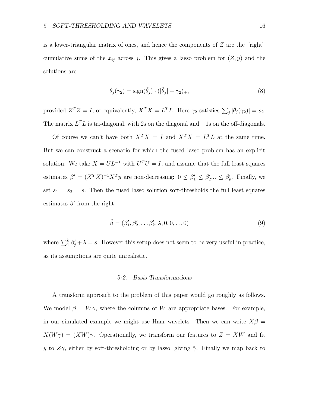is a lower-triangular matrix of ones, and hence the components of Z are the "right" cumulative sums of the  $x_{ij}$  across j. This gives a lasso problem for  $(Z, y)$  and the solutions are

$$
\hat{\theta}_j(\gamma_2) = \text{sign}(\tilde{\theta}_j) \cdot (|\tilde{\theta}_j| - \gamma_2)_+, \tag{8}
$$

provided  $Z^T Z = I$ , or equivalently,  $X^T X = L^T L$ . Here  $\gamma_2$  satisfies  $\sum_j |\hat{\theta}_j(\gamma_2)| = s_2$ . The matrix  $L^T L$  is tri-diagonal, with 2s on the diagonal and  $-1$ s on the off-diagonals.

Of course we can't have both  $X^T X = I$  and  $X^T X = L^T L$  at the same time. But we can construct a scenario for which the fused lasso problem has an explicit solution. We take  $X = UL^{-1}$  with  $U^T U = I$ , and assume that the full least squares estimates  $\beta' = (X^T X)^{-1} X^T y$  are non-decreasing:  $0 \le \beta'_1 \le \beta'_2 ... \le \beta'_p$ . Finally, we set  $s_1 = s_2 = s$ . Then the fused lasso solution soft-thresholds the full least squares estimates  $\beta'$  from the right:

$$
\hat{\beta} = (\beta'_1, \beta'_2, \dots \beta'_k, \lambda, 0, 0, \dots 0)
$$
\n(9)

where  $\sum_{i=1}^{k} \beta'_{j} + \lambda = s$ . However this setup does not seem to be very useful in practice, as its assumptions are quite unrealistic.

#### 5·2. Basis Transformations

A transform approach to the problem of this paper would go roughly as follows. We model  $\beta = W\gamma$ , where the columns of W are appropriate bases. For example, in our simulated example we might use Haar wavelets. Then we can write  $X\beta =$  $X(W\gamma) = (XW)\gamma$ . Operationally, we transform our features to  $Z = XW$  and fit y to  $Z\gamma$ , either by soft-thresholding or by lasso, giving  $\tilde{\gamma}$ . Finally we map back to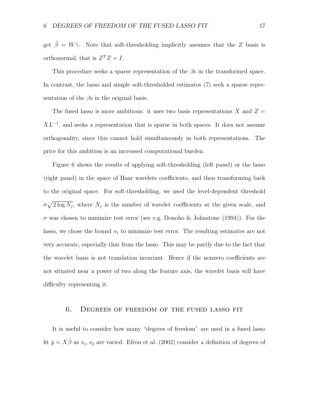get  $\tilde{\beta} = W\tilde{\gamma}$ . Note that soft-thresholding implicitly assumes that the Z basis is orthonormal, that is  $Z^T Z = I$ .

This procedure seeks a sparse representation of the  $\beta$ s in the transformed space. In contrast, the lasso and simple soft-thresholded estimates (7) seek a sparse representation of the  $\beta$ s in the original basis.

The fused lasso is more ambitious: it uses two basis representations X and  $Z =$  $XL^{-1}$ , and seeks a representation that is sparse in both spaces. It does not assume orthogonality, since this cannot hold simultaneously in both representations. The price for this ambition is an increased computational burden.

Figure 6 shows the results of applying soft-thresholding (left panel) or the lasso (right panel) in the space of Haar wavelets coefficients, and then transforming back to the original space. For soft-thresholding, we used the level-dependent threshold  $\sigma \sqrt{2 \log N_j}$ , where  $N_j$  is the number of wavelet coefficients at the given scale, and  $\sigma$  was chosen to minimize test error (see e.g. Donoho & Johnstone (1994)). For the lasso, we chose the bound  $s_1$  to minimize test error. The resulting estimates are not very accurate, especially that from the lasso. This may be partly due to the fact that the wavelet basis is not translation invariant. Hence if the nonzero coefficients are not situated near a power of two along the feature axis, the wavelet basis will have difficulty representing it.

# 6. Degrees of freedom of the fused lasso fit

It is useful to consider how many "degrees of freedom" are used in a fused lasso fit  $\hat{y} = X\hat{\beta}$  as  $s_1, s_2$  are varied. Efron et al. (2002) consider a definition of degrees of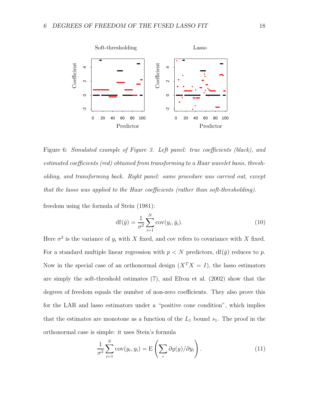

Figure 6: Simulated example of Figure 3. Left panel: true coefficients (black), and estimated coefficients (red) obtained from transforming to a Haar wavelet basis, thresholding, and transforming back. Right panel: same procedure was carried out, except that the lasso was applied to the Haar coefficients (rather than soft-thresholding).

freedom using the formula of Stein (1981):

$$
df(\hat{y}) = \frac{1}{\sigma^2} \sum_{i=1}^{N} cov(y_i, \hat{y}_i).
$$
 (10)

Here  $\sigma^2$  is the variance of  $y_i$  with X fixed, and cov refers to covariance with X fixed. For a standard multiple linear regression with  $p < N$  predictors,  $df(\hat{y})$  reduces to p. Now in the special case of an orthonormal design  $(X<sup>T</sup>X = I)$ , the lasso estimators are simply the soft-threshold estimates (7), and Efron et al. (2002) show that the degrees of freedom equals the number of non-zero coefficients. They also prove this for the LAR and lasso estimators under a "positive cone condition", which implies that the estimates are monotone as a function of the  $L_1$  bound  $s_1$ . The proof in the orthonormal case is simple: it uses Stein's formula

$$
\frac{1}{\sigma^2} \sum_{i=1}^N \text{cov}(y_i, g_i) = \mathcal{E}\left(\sum_i \partial g(y) / \partial y_i\right). \tag{11}
$$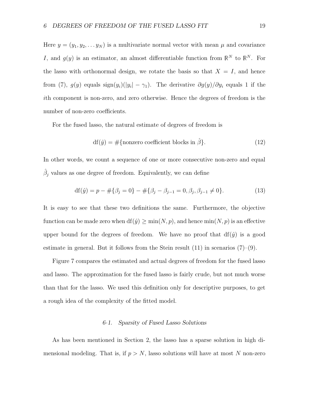Here  $y = (y_1, y_2, \dots y_N)$  is a multivariate normal vector with mean  $\mu$  and covariance I, and  $g(y)$  is an estimator, an almost differentiable function from  $\mathbb{R}^N$  to  $\mathbb{R}^N$ . For the lasso with orthonormal design, we rotate the basis so that  $X = I$ , and hence from (7),  $g(y)$  equals  $\text{sign}(y_i)(|y_i| - \gamma_1)$ . The derivative  $\partial g(y)/\partial y_i$  equals 1 if the ith component is non-zero, and zero otherwise. Hence the degrees of freedom is the number of non-zero coefficients.

For the fused lasso, the natural estimate of degrees of freedom is

$$
df(\hat{y}) = #\{\text{nonzero coefficient blocks in }\hat{\beta}\}.
$$
 (12)

In other words, we count a sequence of one or more consecutive non-zero and equal  $\hat{\beta}_j$  values as one degree of freedom. Equivalently, we can define

$$
df(\hat{y}) = p - #\{\beta_j = 0\} - #\{\beta_j - \beta_{j-1} = 0, \beta_j, \beta_{j-1} \neq 0\}.
$$
\n(13)

It is easy to see that these two definitions the same. Furthermore, the objective function can be made zero when  $df(\hat{y}) \ge \min(N, p)$ , and hence  $\min(N, p)$  is an effective upper bound for the degrees of freedom. We have no proof that  $df(\hat{y})$  is a good estimate in general. But it follows from the Stein result  $(11)$  in scenarios  $(7)-(9)$ .

Figure 7 compares the estimated and actual degrees of freedom for the fused lasso and lasso. The approximation for the fused lasso is fairly crude, but not much worse than that for the lasso. We used this definition only for descriptive purposes, to get a rough idea of the complexity of the fitted model.

#### 6·1. Sparsity of Fused Lasso Solutions

As has been mentioned in Section 2, the lasso has a sparse solution in high dimensional modeling. That is, if  $p > N$ , lasso solutions will have at most N non-zero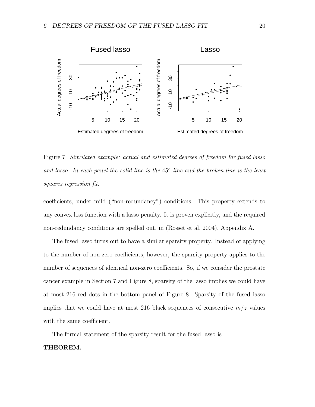

Figure 7: Simulated example: actual and estimated degrees of freedom for fused lasso and lasso. In each panel the solid line is the  $45^{\circ}$  line and the broken line is the least squares regression fit.

coefficients, under mild ("non-redundancy") conditions. This property extends to any convex loss function with a lasso penalty. It is proven explicitly, and the required non-redundancy conditions are spelled out, in (Rosset et al. 2004), Appendix A.

The fused lasso turns out to have a similar sparsity property. Instead of applying to the number of non-zero coefficients, however, the sparsity property applies to the number of sequences of identical non-zero coefficients. So, if we consider the prostate cancer example in Section 7 and Figure 8, sparsity of the lasso implies we could have at most 216 red dots in the bottom panel of Figure 8. Sparsity of the fused lasso implies that we could have at most 216 black sequences of consecutive  $m/z$  values with the same coefficient.

The formal statement of the sparsity result for the fused lasso is

### THEOREM.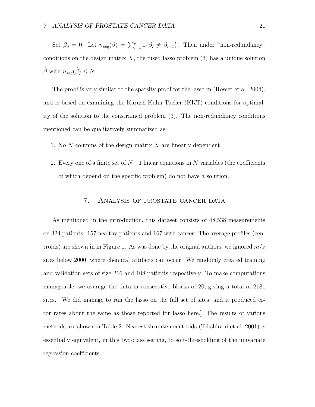Set  $\beta_0 = 0$ . Let  $n_{seq}(\beta) = \sum_{i=1}^p 1\{\beta_i \neq \beta_{i-1}\}\.$  Then under "non-redundancy" conditions on the design matrix  $X$ , the fused lasso problem  $(3)$  has a unique solution  $\hat{\beta}$  with  $n_{seq}(\hat{\beta}) \leq N$ .

The proof is very similar to the sparsity proof for the lasso in (Rosset et al. 2004), and is based on examining the Karush-Kuhn-Tucker (KKT) conditions for optimality of the solution to the constrained problem (3). The non-redundancy conditions mentioned can be qualitatively summarized as:

- 1. No  $N$  columns of the design matrix  $X$  are linearly dependent
- 2. Every one of a finite set of  $N+1$  linear equations in N variables (the coefficients of which depend on the specific problem) do not have a solution.

# 7. Analysis of prostate cancer data

As mentioned in the introduction, this dataset consists of 48,538 measurements on 324 patients: 157 healthy patients and 167 with cancer. The average profiles (centroids) are shown in in Figure 1. As was done by the original authors, we ignored  $m/z$ sites below 2000, where chemical artifacts can occur. We randomly created training and validation sets of size 216 and 108 patients respectively. To make computations manageable, we average the data in consecutive blocks of 20, giving a total of 2181 sites. [We did manage to run the lasso on the full set of sites, and it produced error rates about the same as those reported for lasso here.] The results of various methods are shown in Table 2. Nearest shrunken centroids (Tibshirani et al. 2001) is essentially equivalent, in this two-class setting, to soft-thresholding of the univariate regression coefficients.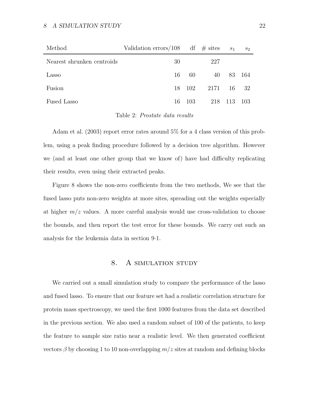| Method                     | Validation errors/108 df $\#$ sites |       |      | S <sub>1</sub> | $S_2$ |
|----------------------------|-------------------------------------|-------|------|----------------|-------|
| Nearest shrunken centroids | 30                                  |       | 227  |                |       |
| Lasso                      | 16                                  | -60   | 40   | 83             | -164  |
| Fusion                     | 18                                  | -102  | 2171 | -16            | - 32  |
| Fused Lasso                | 16                                  | -103- | 218  | 113            | -103  |

Table 2: Prostate data results

Adam et al. (2003) report error rates around 5% for a 4 class version of this problem, using a peak finding procedure followed by a decision tree algorithm. However we (and at least one other group that we know of) have had difficulty replicating their results, even using their extracted peaks.

Figure 8 shows the non-zero coefficients from the two methods, We see that the fused lasso puts non-zero weights at more sites, spreading out the weights especially at higher  $m/z$  values. A more careful analysis would use cross-validation to choose the bounds, and then report the test error for these bounds. We carry out such an analysis for the leukemia data in section 9·1.

# 8. A SIMULATION STUDY

We carried out a small simulation study to compare the performance of the lasso and fused lasso. To ensure that our feature set had a realistic correlation structure for protein mass spectroscopy, we used the first 1000 features from the data set described in the previous section. We also used a random subset of 100 of the patients, to keep the feature to sample size ratio near a realistic level. We then generated coefficient vectors  $\beta$  by choosing 1 to 10 non-overlapping  $m/z$  sites at random and defining blocks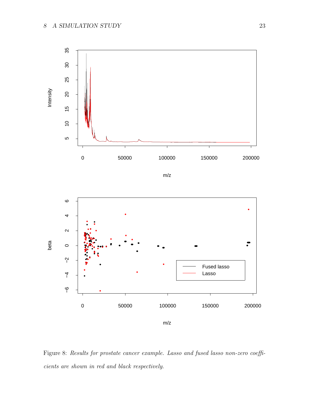

Figure 8: Results for prostate cancer example. Lasso and fused lasso non-zero coefficients are shown in red and black respectively.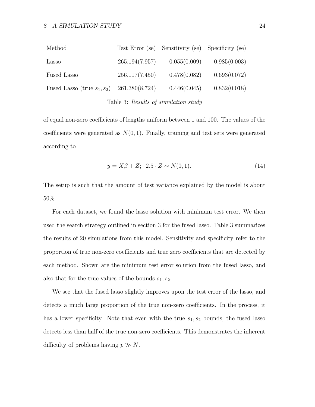#### 8 A SIMULATION STUDY 24

| Method                         |                | Test Error (se) Sensitivity (se) Specificity (se) |              |
|--------------------------------|----------------|---------------------------------------------------|--------------|
| Lasso                          | 265.194(7.957) | 0.055(0.009)                                      | 0.985(0.003) |
| Fused Lasso                    | 256.117(7.450) | 0.478(0.082)                                      | 0.693(0.072) |
| Fused Lasso (true $s_1, s_2$ ) | 261.380(8.724) | 0.446(0.045)                                      | 0.832(0.018) |
|                                |                |                                                   |              |

Table 3: Results of simulation study

of equal non-zero coefficients of lengths uniform between 1 and 100. The values of the coefficients were generated as  $N(0, 1)$ . Finally, training and test sets were generated according to

$$
y = X\beta + Z; \ \ 2.5 \cdot Z \sim N(0, 1). \tag{14}
$$

The setup is such that the amount of test variance explained by the model is about 50%.

For each dataset, we found the lasso solution with minimum test error. We then used the search strategy outlined in section 3 for the fused lasso. Table 3 summarizes the results of 20 simulations from this model. Sensitivity and specificity refer to the proportion of true non-zero coefficients and true zero coefficients that are detected by each method. Shown are the minimum test error solution from the fused lasso, and also that for the true values of the bounds  $s_1, s_2$ .

We see that the fused lasso slightly improves upon the test error of the lasso, and detects a much large proportion of the true non-zero coefficients. In the process, it has a lower specificity. Note that even with the true  $s_1, s_2$  bounds, the fused lasso detects less than half of the true non-zero coefficients. This demonstrates the inherent difficulty of problems having  $p \gg N$ .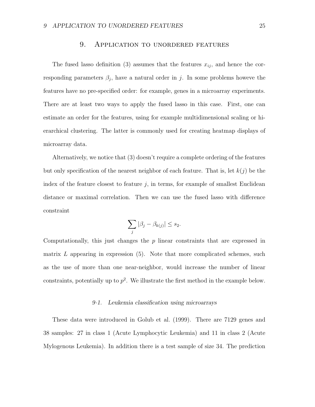### 9. Application to unordered features

The fused lasso definition (3) assumes that the features  $x_{ij}$ , and hence the corresponding parameters  $\beta_j$ , have a natural order in j. In some problems howeve the features have no pre-specified order: for example, genes in a microarray experiments. There are at least two ways to apply the fused lasso in this case. First, one can estimate an order for the features, using for example multidimensional scaling or hierarchical clustering. The latter is commonly used for creating heatmap displays of microarray data.

Alternatively, we notice that (3) doesn't require a complete ordering of the features but only specification of the nearest neighbor of each feature. That is, let  $k(j)$  be the index of the feature closest to feature  $j$ , in terms, for example of smallest Euclidean distance or maximal correlation. Then we can use the fused lasso with difference constraint

$$
\sum_j |\beta_j - \beta_{k(j)}| \le s_2.
$$

Computationally, this just changes the  $p$  linear constraints that are expressed in matrix  $L$  appearing in expression  $(5)$ . Note that more complicated schemes, such as the use of more than one near-neighbor, would increase the number of linear constraints, potentially up to  $p^2$ . We illustrate the first method in the example below.

#### 9·1. Leukemia classification using microarrays

These data were introduced in Golub et al. (1999). There are 7129 genes and 38 samples: 27 in class 1 (Acute Lymphocytic Leukemia) and 11 in class 2 (Acute Mylogenous Leukemia). In addition there is a test sample of size 34. The prediction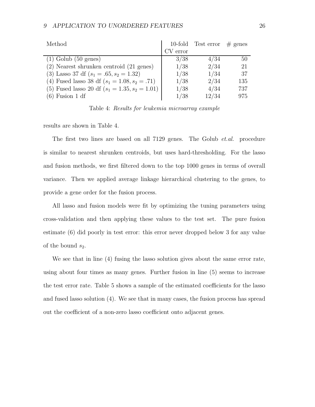| Method                                           |          | 10-fold Test error | $#$ genes |
|--------------------------------------------------|----------|--------------------|-----------|
|                                                  | CV error |                    |           |
| $(1)$ Golub $(50$ genes)                         | 3/38     | 4/34               | 50        |
| (2) Nearest shrunken centroid (21 genes)         | 1/38     | 2/34               | 21        |
| (3) Lasso 37 df $(s_1 = .65, s_2 = 1.32)$        | 1/38     | 1/34               | 37        |
| (4) Fused lasso 38 df $(s_1 = 1.08, s_2 = .71)$  | 1/38     | 2/34               | 135       |
| (5) Fused lasso 20 df $(s_1 = 1.35, s_2 = 1.01)$ | 1/38     | 4/34               | 737       |
| $(6)$ Fusion 1 df                                | 1/38     | 12/34              | 975       |

Table 4: Results for leukemia microarray example

results are shown in Table 4.

The first two lines are based on all 7129 genes. The Golub *et.al.* procedure is similar to nearest shrunken centroids, but uses hard-thresholding. For the lasso and fusion methods, we first filtered down to the top 1000 genes in terms of overall variance. Then we applied average linkage hierarchical clustering to the genes, to provide a gene order for the fusion process.

All lasso and fusion models were fit by optimizing the tuning parameters using cross-validation and then applying these values to the test set. The pure fusion estimate (6) did poorly in test error: this error never dropped below 3 for any value of the bound  $s_2$ .

We see that in line (4) fusing the lasso solution gives about the same error rate, using about four times as many genes. Further fusion in line (5) seems to increase the test error rate. Table 5 shows a sample of the estimated coefficients for the lasso and fused lasso solution (4). We see that in many cases, the fusion process has spread out the coefficient of a non-zero lasso coefficient onto adjacent genes.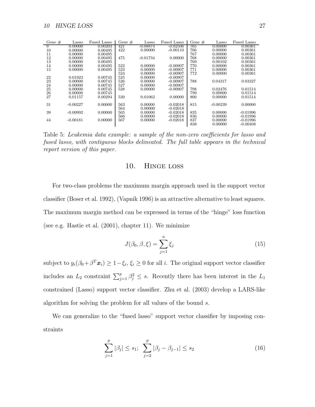| Gene $#$ | Lasso      | Fused Lasso | Gene $#$ | Lasso      | Fused Lasso | Gene $#$ | Lasso      | Fused Lasso |
|----------|------------|-------------|----------|------------|-------------|----------|------------|-------------|
| -9       | 0.00000    | 0.00203     | 421      | -0.08874   | $-0.02506$  | 765      | 0.00000    | 0.00361     |
| 10       | 0.00000    | 0.00495     | 422      | 0.00000    | $-0.00110$  | 766      | 0.00000    | 0.00361     |
| 11       | 0.00000    | 0.00495     |          |            |             | 767      | 0.00000    | 0.00361     |
| 12       | 0.00000    | 0.00495     | 475      | $-0.01734$ | 0.00000     | 768      | 0.00000    | 0.00361     |
| 13       | 0.00000    | 0.00495     |          |            |             | 769      | 0.00102    | 0.00361     |
| 14       | 0.00000    | 0.00495     | 522      | 0.00000    | $-0.00907$  | 770      | 0.00000    | 0.00361     |
| 15       | 0.00000    | 0.00495     | 523      | 0.00000    | $-0.00907$  | 771      | 0.00000    | 0.00361     |
|          |            |             | 524      | 0.00000    | $-0.00907$  | 772      | 0.00000    | 0.00361     |
| 22       | 0.01923    | 0.00745     | 525      | 0.00000    | $-0.00907$  |          |            |             |
| 23       | 0.00000    | 0.00745     | 526      | 0.00000    | $-0.00907$  | 788      | 0.04317    | 0.03327     |
| 24       | 0.00000    | 0.00745     | 527      | 0.00000    | $-0.00907$  |          |            |             |
| 25       | 0.00000    | 0.00745     | 528      | 0.00000    | $-0.00907$  | 798      | 0.02476    | 0.01514     |
| 26       | 0.00000    | 0.00745     |          |            |             | 799      | 0.00000    | 0.01514     |
| 27       | 0.01157    | 0.00294     | 530      | 0.01062    | 0.00000     | 800      | 0.00000    | 0.01514     |
|          |            |             |          |            |             |          |            |             |
| 31       | $-0.00227$ | 0.00000     | 563      | 0.00000    | $-0.02018$  | 815      | $-0.00239$ | 0.00000     |
|          |            |             | 564      | 0.00000    | $-0.02018$  |          |            |             |
| 39       | $-0.00992$ | 0.00000     | 565      | 0.00000    | $-0.02018$  | 835      | 0.00000    | $-0.01996$  |
|          |            |             | 566      | 0.00000    | $-0.02018$  | 836      | 0.00000    | $-0.01996$  |
| 44       | $-0.00181$ | 0.00000     | 567      | 0.00000    | $-0.02018$  | 837      | 0.00000    | $-0.01996$  |
|          |            |             |          |            |             | 838      | 0.00000    | $-0.00408$  |

Table 5: Leukemia data example: a sample of the non-zero coefficients for lasso and fused lasso, with contiguous blocks delineated. The full table appears in the technical report version of this paper.

# 10. Hinge loss

For two-class problems the maximum margin approach used in the support vector classifier (Boser et al. 1992), (Vapnik 1996) is an attractive alternative to least squares. The maximum margin method can be expressed in terms of the "hinge" loss function (see e.g. Hastie et al. (2001), chapter 11). We minimize

$$
J(\beta_0, \beta, \xi) = \sum_{j=1}^n \xi_j
$$
\n(15)

subject to  $y_i(\beta_0 + \beta^T \boldsymbol{x}_i) \ge 1 - \xi_i$ ,  $\xi_i \ge 0$  for all i. The original support vector classifier includes an  $L_2$  constraint  $\sum_{j=1}^p \beta_j^2 \leq s$ . Recently there has been interest in the  $L_1$ constrained (Lasso) support vector classifier. Zhu et al. (2003) develop a LARS-like algorithm for solving the problem for all values of the bound s.

We can generalize to the "fused lasso" support vector classifier by imposing constraints

$$
\sum_{j=1}^{p} |\beta_j| \le s_1; \quad \sum_{j=2}^{p} |\beta_j - \beta_{j-1}| \le s_2 \tag{16}
$$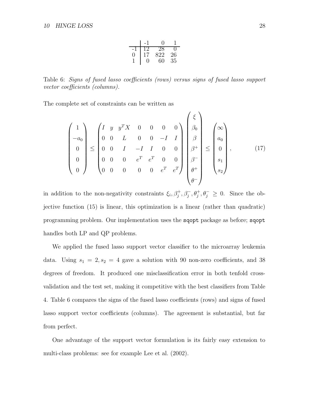|     | 0   |    |
|-----|-----|----|
| 1') | 28  |    |
| 17  | 822 | 26 |
| 0   | 60  | 35 |

Table 6: Signs of fused lasso coefficients (rows) versus signs of fused lasso support vector coefficients (columns).

The complete set of constraints can be written as

$$
\begin{pmatrix}\n1 \\
-a_0 \\
0 \\
0 \\
0\n\end{pmatrix}\n\le\n\begin{pmatrix}\nI & y & y^T X & 0 & 0 & 0 & 0 \\
0 & 0 & L & 0 & 0 & -I & I \\
0 & 0 & I & -I & I & 0 & 0 \\
0 & 0 & 0 & e^T & e^T & 0 & 0 \\
0 & 0 & 0 & 0 & 0 & e^T & e^T\n\end{pmatrix}\n\begin{pmatrix}\n\xi \\
\beta_0 \\
\beta \\
\beta^+\n\end{pmatrix}\n\le\n\begin{pmatrix}\n\infty \\
a_0 \\
0 \\
s_1 \\
s_2\n\end{pmatrix},
$$
\n(17)

in addition to the non-negativity constraints  $\xi_i$ ,  $\beta_j^+, \beta_j^-, \theta_j^+, \theta_j^- \geq 0$ . Since the objective function (15) is linear, this optimization is a linear (rather than quadratic) programming problem. Our implementation uses the sqopt package as before; sqopt handles both LP and QP problems.

We applied the fused lasso support vector classifier to the microarray leukemia data. Using  $s_1 = 2, s_2 = 4$  gave a solution with 90 non-zero coefficients, and 38 degrees of freedom. It produced one misclassification error in both tenfold crossvalidation and the test set, making it competitive with the best classifiers from Table 4. Table 6 compares the signs of the fused lasso coefficients (rows) and signs of fused lasso support vector coefficients (columns). The agreement is substantial, but far from perfect.

One advantage of the support vector formulation is its fairly easy extension to multi-class problems: see for example Lee et al. (2002).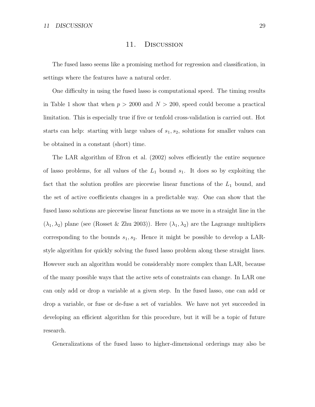### 11. Discussion

The fused lasso seems like a promising method for regression and classification, in settings where the features have a natural order.

One difficulty in using the fused lasso is computational speed. The timing results in Table 1 show that when  $p > 2000$  and  $N > 200$ , speed could become a practical limitation. This is especially true if five or tenfold cross-validation is carried out. Hot starts can help: starting with large values of  $s_1, s_2$ , solutions for smaller values can be obtained in a constant (short) time.

The LAR algorithm of Efron et al. (2002) solves efficiently the entire sequence of lasso problems, for all values of the  $L_1$  bound  $s_1$ . It does so by exploiting the fact that the solution profiles are piecewise linear functions of the  $L_1$  bound, and the set of active coefficients changes in a predictable way. One can show that the fused lasso solutions are piecewise linear functions as we move in a straight line in the  $(\lambda_1, \lambda_2)$  plane (see (Rosset & Zhu 2003)). Here  $(\lambda_1, \lambda_2)$  are the Lagrange multipliers corresponding to the bounds  $s_1, s_2$ . Hence it might be possible to develop a LARstyle algorithm for quickly solving the fused lasso problem along these straight lines. However such an algorithm would be considerably more complex than LAR, because of the many possible ways that the active sets of constraints can change. In LAR one can only add or drop a variable at a given step. In the fused lasso, one can add or drop a variable, or fuse or de-fuse a set of variables. We have not yet succeeded in developing an efficient algorithm for this procedure, but it will be a topic of future research.

Generalizations of the fused lasso to higher-dimensional orderings may also be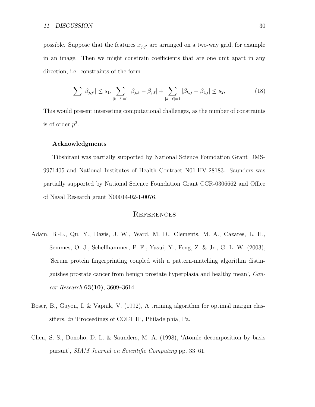possible. Suppose that the features  $x_{j,j'}$  are arranged on a two-way grid, for example in an image. Then we might constrain coefficients that are one unit apart in any direction, i.e. constraints of the form

$$
\sum |\beta_{j,j'}| \le s_1, \sum_{|k-\ell|=1} |\beta_{j,k} - \beta_{j,\ell}| + \sum_{|k-\ell|=1} |\beta_{k,j} - \beta_{\ell,j}| \le s_2,
$$
\n(18)

This would present interesting computational challenges, as the number of constraints is of order  $p^2$ .

#### Acknowledgments

Tibshirani was partially supported by National Science Foundation Grant DMS-9971405 and National Institutes of Health Contract N01-HV-28183. Saunders was partially supported by National Science Foundation Grant CCR-0306662 and Office of Naval Research grant N00014-02-1-0076.

### **REFERENCES**

- Adam, B.-L., Qu, Y., Davis, J. W., Ward, M. D., Clements, M. A., Cazares, L. H., Semmes, O. J., Schellhammer, P. F., Yasui, Y., Feng, Z. & Jr., G. L. W. (2003), 'Serum protein fingerprinting coupled with a pattern-matching algorithm distinguishes prostate cancer from benign prostate hyperplasia and healthy mean', Cancer Research  $63(10)$ , 3609–3614.
- Boser, B., Guyon, I. & Vapnik, V. (1992), A training algorithm for optimal margin classifiers, in 'Proceedings of COLT II', Philadelphia, Pa.
- Chen, S. S., Donoho, D. L. & Saunders, M. A. (1998), 'Atomic decomposition by basis pursuit', SIAM Journal on Scientific Computing pp. 33–61.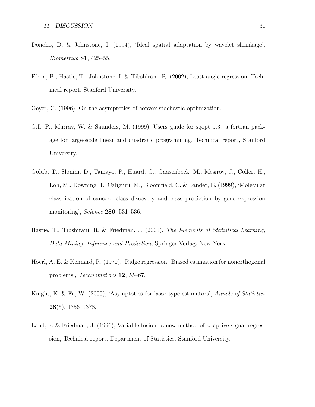- Donoho, D. & Johnstone, I. (1994), 'Ideal spatial adaptation by wavelet shrinkage', Biometrika 81, 425–55.
- Efron, B., Hastie, T., Johnstone, I. & Tibshirani, R. (2002), Least angle regression, Technical report, Stanford University.
- Geyer, C. (1996), On the asymptotics of convex stochastic optimization.
- Gill, P., Murray, W. & Saunders, M. (1999), Users guide for sqopt 5.3: a fortran package for large-scale linear and quadratic programming, Technical report, Stanford University.
- Golub, T., Slonim, D., Tamayo, P., Huard, C., Gaasenbeek, M., Mesirov, J., Coller, H., Loh, M., Downing, J., Caligiuri, M., Bloomfield, C. & Lander, E. (1999), 'Molecular classification of cancer: class discovery and class prediction by gene expression monitoring', Science 286, 531–536.
- Hastie, T., Tibshirani, R. & Friedman, J. (2001), The Elements of Statistical Learning; Data Mining, Inference and Prediction, Springer Verlag, New York.
- Hoerl, A. E. & Kennard, R. (1970), 'Ridge regression: Biased estimation for nonorthogonal problems', Technometrics 12, 55–67.
- Knight, K. & Fu, W. (2000), 'Asymptotics for lasso-type estimators', Annals of Statistics  $28(5)$ , 1356–1378.
- Land, S. & Friedman, J. (1996), Variable fusion: a new method of adaptive signal regression, Technical report, Department of Statistics, Stanford University.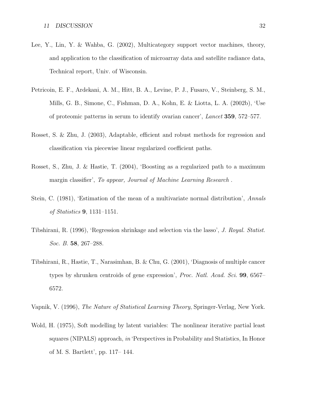- Lee, Y., Lin, Y. & Wahba, G. (2002), Multicategory support vector machines, theory, and application to the classification of microarray data and satellite radiance data, Technical report, Univ. of Wisconsin.
- Petricoin, E. F., Ardekani, A. M., Hitt, B. A., Levine, P. J., Fusaro, V., Steinberg, S. M., Mills, G. B., Simone, C., Fishman, D. A., Kohn, E. & Liotta, L. A. (2002b), 'Use of proteomic patterns in serum to identify ovarian cancer', Lancet 359, 572–577.
- Rosset, S. & Zhu, J. (2003), Adaptable, efficient and robust methods for regression and classification via piecewise linear regularized coefficient paths.
- Rosset, S., Zhu, J. & Hastie, T. (2004), 'Boosting as a regularized path to a maximum margin classifier', To appear, Journal of Machine Learning Research.
- Stein, C. (1981), 'Estimation of the mean of a multivariate normal distribution', Annals of Statistics 9, 1131–1151.
- Tibshirani, R. (1996), 'Regression shrinkage and selection via the lasso', J. Royal. Statist. Soc. B. 58, 267–288.
- Tibshirani, R., Hastie, T., Narasimhan, B. & Chu, G. (2001), 'Diagnosis of multiple cancer types by shrunken centroids of gene expression', *Proc. Natl. Acad. Sci.* **99**, 6567– 6572.

Vapnik, V. (1996), The Nature of Statistical Learning Theory, Springer-Verlag, New York.

Wold, H. (1975), Soft modelling by latent variables: The nonlinear iterative partial least squares (NIPALS) approach, in 'Perspectives in Probability and Statistics, In Honor of M. S. Bartlett', pp. 117– 144.